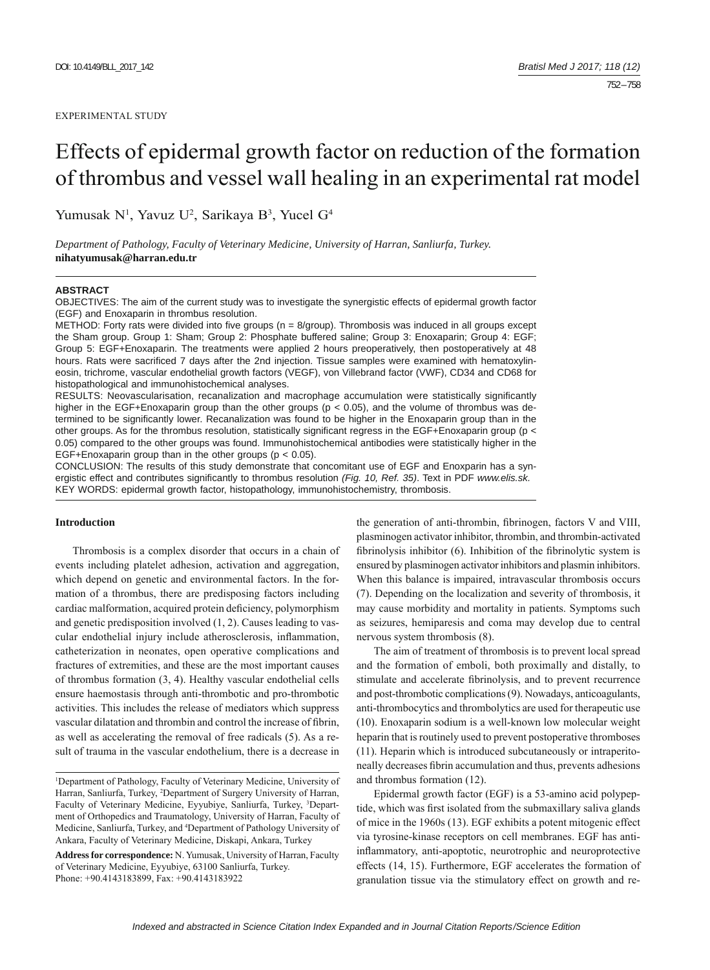#### EXPERIMENTAL STUDY

# Effects of epidermal growth factor on reduction of the formation of thrombus and vessel wall healing in an experimental rat model

Yumusak N<sup>1</sup>, Yavuz U<sup>2</sup>, Sarikaya B<sup>3</sup>, Yucel G<sup>4</sup>

*Department of Pathology, Faculty of Veterinary Medicine, University of Harran, Sanliurfa, Turkey.*  **nihatyumusak@harran.edu.tr**

#### **ABSTRACT**

OBJECTIVES: The aim of the current study was to investigate the synergistic effects of epidermal growth factor (EGF) and Enoxaparin in thrombus resolution.

METHOD: Forty rats were divided into five groups ( $n = 8$ /group). Thrombosis was induced in all groups except the Sham group. Group 1: Sham; Group 2: Phosphate buffered saline; Group 3: Enoxaparin; Group 4: EGF; Group 5: EGF+Enoxaparin. The treatments were applied 2 hours preoperatively, then postoperatively at 48 hours. Rats were sacrificed 7 days after the 2nd injection. Tissue samples were examined with hematoxylineosin, trichrome, vascular endothelial growth factors (VEGF), von Villebrand factor (VWF), CD34 and CD68 for histopathological and immunohistochemical analyses.

RESULTS: Neovascularisation, recanalization and macrophage accumulation were statistically significantly higher in the EGF+Enoxaparin group than the other groups ( $p < 0.05$ ), and the volume of thrombus was determined to be significantly lower. Recanalization was found to be higher in the Enoxaparin group than in the other groups. As for the thrombus resolution, statistically significant regress in the EGF+Enoxaparin group ( $p <$ 0.05) compared to the other groups was found. Immunohistochemical antibodies were statistically higher in the EGF+Enoxaparin group than in the other groups ( $p < 0.05$ ).

CONCLUSION: The results of this study demonstrate that concomitant use of EGF and Enoxparin has a synergistic effect and contributes significantly to thrombus resolution (Fig. 10, Ref. 35). Text in PDF *www.elis.sk.* KEY WORDS: epidermal growth factor, histopathology, immunohistochemistry, thrombosis.

# **Introduction**

Thrombosis is a complex disorder that occurs in a chain of events including platelet adhesion, activation and aggregation, which depend on genetic and environmental factors. In the formation of a thrombus, there are predisposing factors including cardiac malformation, acquired protein deficiency, polymorphism and genetic predisposition involved (1, 2). Causes leading to vascular endothelial injury include atherosclerosis, inflammation, catheterization in neonates, open operative complications and fractures of extremities, and these are the most important causes of thrombus formation (3, 4). Healthy vascular endothelial cells ensure haemostasis through anti-thrombotic and pro-thrombotic activities. This includes the release of mediators which suppress vascular dilatation and thrombin and control the increase of fibrin, as well as accelerating the removal of free radicals (5). As a result of trauma in the vascular endothelium, there is a decrease in

the generation of anti-thrombin, fibrinogen, factors V and VIII, plasminogen activator inhibitor, thrombin, and thrombin-activated fibrinolysis inhibitor (6). Inhibition of the fibrinolytic system is ensured by plasminogen activator inhibitors and plasmin inhibitors. When this balance is impaired, intravascular thrombosis occurs (7). Depending on the localization and severity of thrombosis, it may cause morbidity and mortality in patients. Symptoms such as seizures, hemiparesis and coma may develop due to central nervous system thrombosis (8).

The aim of treatment of thrombosis is to prevent local spread and the formation of emboli, both proximally and distally, to stimulate and accelerate fibrinolysis, and to prevent recurrence and post-thrombotic complications (9). Nowadays, anticoagulants, anti-thrombocytics and thrombolytics are used for therapeutic use (10). Enoxaparin sodium is a well-known low molecular weight heparin that is routinely used to prevent postoperative thromboses (11). Heparin which is introduced subcutaneously or intraperitoneally decreases fibrin accumulation and thus, prevents adhesions and thrombus formation (12).

Epidermal growth factor (EGF) is a 53-amino acid polypeptide, which was first isolated from the submaxillary saliva glands of mice in the 1960s (13). EGF exhibits a potent mitogenic effect via tyrosine-kinase receptors on cell membranes. EGF has antiinflammatory, anti-apoptotic, neurotrophic and neuroprotective effects (14, 15). Furthermore, EGF accelerates the formation of granulation tissue via the stimulatory effect on growth and re-

<sup>1</sup> Department of Pathology, Faculty of Veterinary Medicine, University of Harran, Sanliurfa, Turkey, 2 Department of Surgery University of Harran, Faculty of Veterinary Medicine, Eyyubiye, Sanliurfa, Turkey, <sup>3</sup>Department of Orthopedics and Traumatology, University of Harran, Faculty of Medicine, Sanliurfa, Turkey, and 4 Department of Pathology University of Ankara, Faculty of Veterinary Medicine, Diskapi, Ankara, Turkey

**Address for correspondence:** N. Yumusak, University of Harran, Faculty of Veterinary Medicine, Eyyubiye, 63100 Sanliurfa, Turkey. Phone: +90.4143183899, Fax: +90.4143183922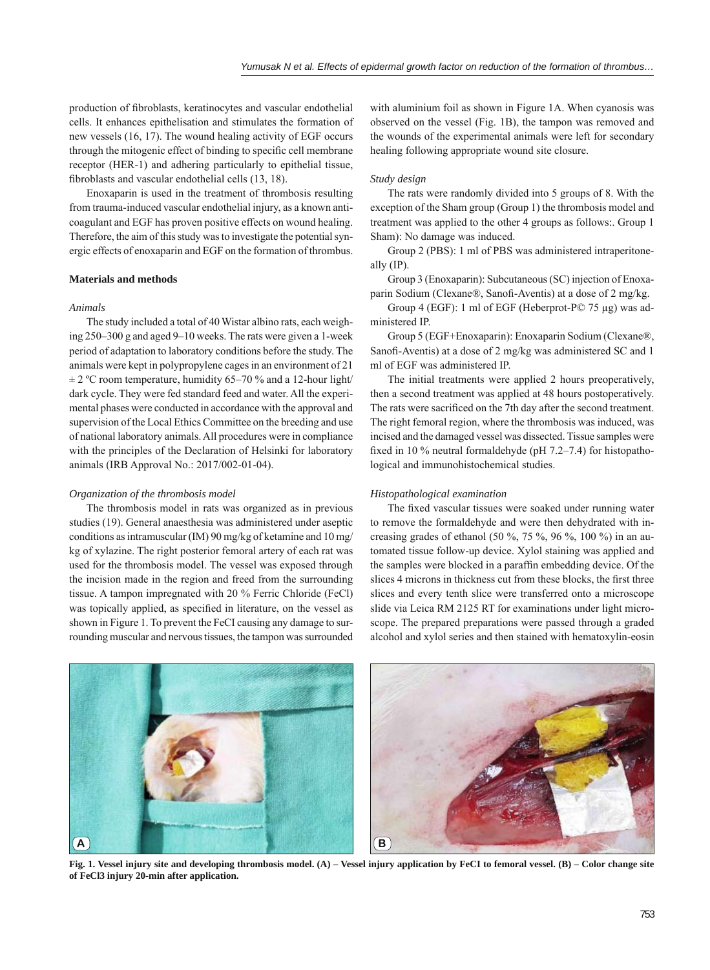production of fibroblasts, keratinocytes and vascular endothelial cells. It enhances epithelisation and stimulates the formation of new vessels (16, 17). The wound healing activity of EGF occurs through the mitogenic effect of binding to specific cell membrane receptor (HER-1) and adhering particularly to epithelial tissue, fibroblasts and vascular endothelial cells (13, 18).

Enoxaparin is used in the treatment of thrombosis resulting from trauma-induced vascular endothelial injury, as a known anticoagulant and EGF has proven positive effects on wound healing. Therefore, the aim of this study was to investigate the potential synergic effects of enoxaparin and EGF on the formation of thrombus.

# **Materials and methods**

# *Animals*

The study included a total of 40 Wistar albino rats, each weighing 250–300 g and aged 9–10 weeks. The rats were given a 1-week period of adaptation to laboratory conditions before the study. The animals were kept in polypropylene cages in an environment of 21  $\pm$  2 °C room temperature, humidity 65–70 % and a 12-hour light/ dark cycle. They were fed standard feed and water. All the experimental phases were conducted in accordance with the approval and supervision of the Local Ethics Committee on the breeding and use of national laboratory animals. All procedures were in compliance with the principles of the Declaration of Helsinki for laboratory animals (IRB Approval No.: 2017/002-01-04).

#### *Organization of the thrombosis model*

The thrombosis model in rats was organized as in previous studies (19). General anaesthesia was administered under aseptic conditions as intramuscular (IM) 90 mg/kg of ketamine and 10 mg/ kg of xylazine. The right posterior femoral artery of each rat was used for the thrombosis model. The vessel was exposed through the incision made in the region and freed from the surrounding tissue. A tampon impregnated with 20 % Ferric Chloride (FeCl) was topically applied, as specified in literature, on the vessel as shown in Figure 1. To prevent the FeCI causing any damage to surrounding muscular and nervous tissues, the tampon was surrounded

with aluminium foil as shown in Figure 1A. When cyanosis was observed on the vessel (Fig. 1B), the tampon was removed and the wounds of the experimental animals were left for secondary healing following appropriate wound site closure.

#### *Study design*

The rats were randomly divided into 5 groups of 8. With the exception of the Sham group (Group 1) the thrombosis model and treatment was applied to the other 4 groups as follows:. Group 1 Sham): No damage was induced.

Group 2 (PBS): 1 ml of PBS was administered intraperitoneally (IP).

Group 3 (Enoxaparin): Subcutaneous (SC) injection of Enoxaparin Sodium (Clexane®, Sanofi -Aventis) at a dose of 2 mg/kg.

Group 4 (EGF): 1 ml of EGF (Heberprot-P© 75 μg) was administered IP.

Group 5 (EGF+Enoxaparin): Enoxaparin Sodium (Clexane®, Sanofi -Aventis) at a dose of 2 mg/kg was administered SC and 1 ml of EGF was administered IP.

The initial treatments were applied 2 hours preoperatively, then a second treatment was applied at 48 hours postoperatively. The rats were sacrificed on the 7th day after the second treatment. The right femoral region, where the thrombosis was induced, was incised and the damaged vessel was dissected. Tissue samples were fixed in 10 % neutral formaldehyde (pH  $7.2-7.4$ ) for histopathological and immunohistochemical studies.

#### *Histopathological examination*

The fixed vascular tissues were soaked under running water to remove the formaldehyde and were then dehydrated with increasing grades of ethanol (50 %, 75 %, 96 %, 100 %) in an automated tissue follow-up device. Xylol staining was applied and the samples were blocked in a paraffin embedding device. Of the slices 4 microns in thickness cut from these blocks, the first three slices and every tenth slice were transferred onto a microscope slide via Leica RM 2125 RT for examinations under light microscope. The prepared preparations were passed through a graded alcohol and xylol series and then stained with hematoxylin-eosin



**Fig. 1. Vessel injury site and developing thrombosis model. (A) – Vessel injury application by FeCI to femoral vessel. (B) – Color change site of FeCl3 injury 20-min after application.**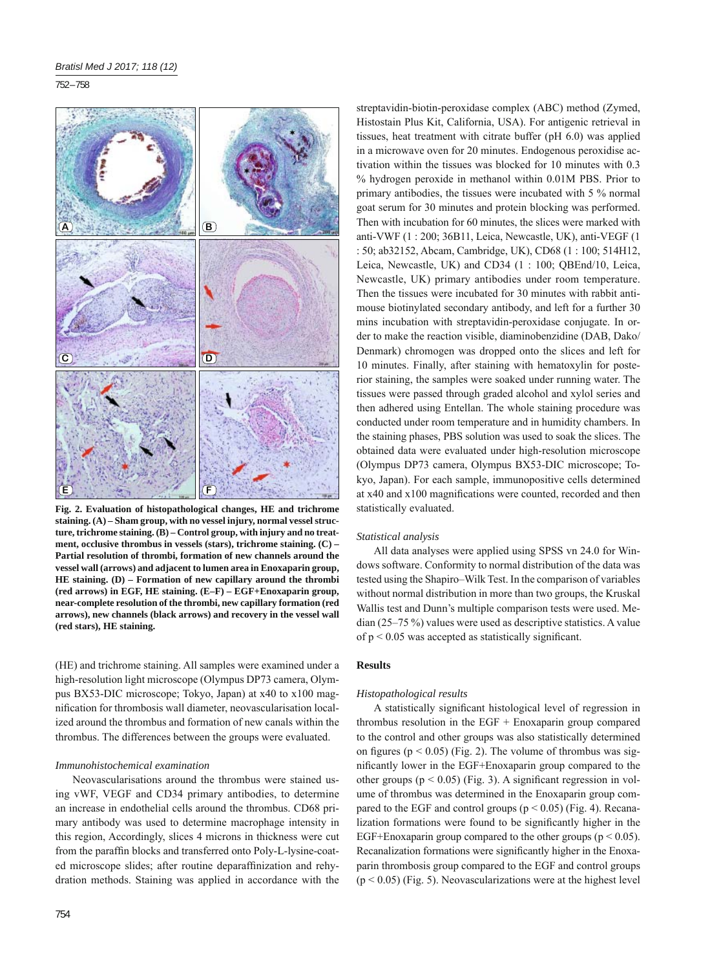752 – 758



**Fig. 2. Evaluation of histopathological changes, HE and trichrome staining. (A) – Sham group, with no vessel injury, normal vessel structure, trichrome staining. (B) – Control group, with injury and no treatment, occlusive thrombus in vessels (stars), trichrome staining. (C) – Partial resolution of thrombi, formation of new channels around the vessel wall (arrows) and adjacent to lumen area in Enoxaparin group, HE staining. (D) – Formation of new capillary around the thrombi (red arrows) in EGF, HE staining. (E–F) – EGF+Enoxaparin group, near-complete resolution of the thrombi, new capillary formation (red arrows), new channels (black arrows) and recovery in the vessel wall (red stars), HE staining.**

(HE) and trichrome staining. All samples were examined under a high-resolution light microscope (Olympus DP73 camera, Olympus BX53-DIC microscope; Tokyo, Japan) at x40 to x100 magnification for thrombosis wall diameter, neovascularisation localized around the thrombus and formation of new canals within the thrombus. The differences between the groups were evaluated.

#### *Immunohistochemical examination*

Neovascularisations around the thrombus were stained using vWF, VEGF and CD34 primary antibodies, to determine an increase in endothelial cells around the thrombus. CD68 primary antibody was used to determine macrophage intensity in this region, Accordingly, slices 4 microns in thickness were cut from the paraffin blocks and transferred onto Poly-L-lysine-coated microscope slides; after routine deparaffinization and rehydration methods. Staining was applied in accordance with the

streptavidin-biotin-peroxidase complex (ABC) method (Zymed, Histostain Plus Kit, California, USA). For antigenic retrieval in tissues, heat treatment with citrate buffer (pH 6.0) was applied in a microwave oven for 20 minutes. Endogenous peroxidise activation within the tissues was blocked for 10 minutes with 0.3 % hydrogen peroxide in methanol within 0.01M PBS. Prior to primary antibodies, the tissues were incubated with 5 % normal goat serum for 30 minutes and protein blocking was performed. Then with incubation for 60 minutes, the slices were marked with anti-VWF (1 : 200; 36B11, Leica, Newcastle, UK), anti-VEGF (1 : 50; ab32152, Abcam, Cambridge, UK), CD68 (1 : 100; 514H12, Leica, Newcastle, UK) and CD34 (1 : 100; QBEnd/10, Leica, Newcastle, UK) primary antibodies under room temperature. Then the tissues were incubated for 30 minutes with rabbit antimouse biotinylated secondary antibody, and left for a further 30 mins incubation with streptavidin-peroxidase conjugate. In order to make the reaction visible, diaminobenzidine (DAB, Dako/ Denmark) chromogen was dropped onto the slices and left for 10 minutes. Finally, after staining with hematoxylin for posterior staining, the samples were soaked under running water. The tissues were passed through graded alcohol and xylol series and then adhered using Entellan. The whole staining procedure was conducted under room temperature and in humidity chambers. In the staining phases, PBS solution was used to soak the slices. The obtained data were evaluated under high-resolution microscope (Olympus DP73 camera, Olympus BX53-DIC microscope; Tokyo, Japan). For each sample, immunopositive cells determined at x40 and x100 magnifications were counted, recorded and then statistically evaluated.

## *Statistical analysis*

All data analyses were applied using SPSS vn 24.0 for Windows software. Conformity to normal distribution of the data was tested using the Shapiro–Wilk Test. In the comparison of variables without normal distribution in more than two groups, the Kruskal Wallis test and Dunn's multiple comparison tests were used. Median (25–75 %) values were used as descriptive statistics. A value of  $p \le 0.05$  was accepted as statistically significant.

#### **Results**

#### *Histopathological results*

A statistically significant histological level of regression in thrombus resolution in the EGF + Enoxaparin group compared to the control and other groups was also statistically determined on figures ( $p < 0.05$ ) (Fig. 2). The volume of thrombus was significantly lower in the EGF+Enoxaparin group compared to the other groups ( $p < 0.05$ ) (Fig. 3). A significant regression in volume of thrombus was determined in the Enoxaparin group compared to the EGF and control groups ( $p < 0.05$ ) (Fig. 4). Recanalization formations were found to be significantly higher in the EGF+Enoxaparin group compared to the other groups ( $p < 0.05$ ). Recanalization formations were significantly higher in the Enoxaparin thrombosis group compared to the EGF and control groups  $(p < 0.05)$  (Fig. 5). Neovascularizations were at the highest level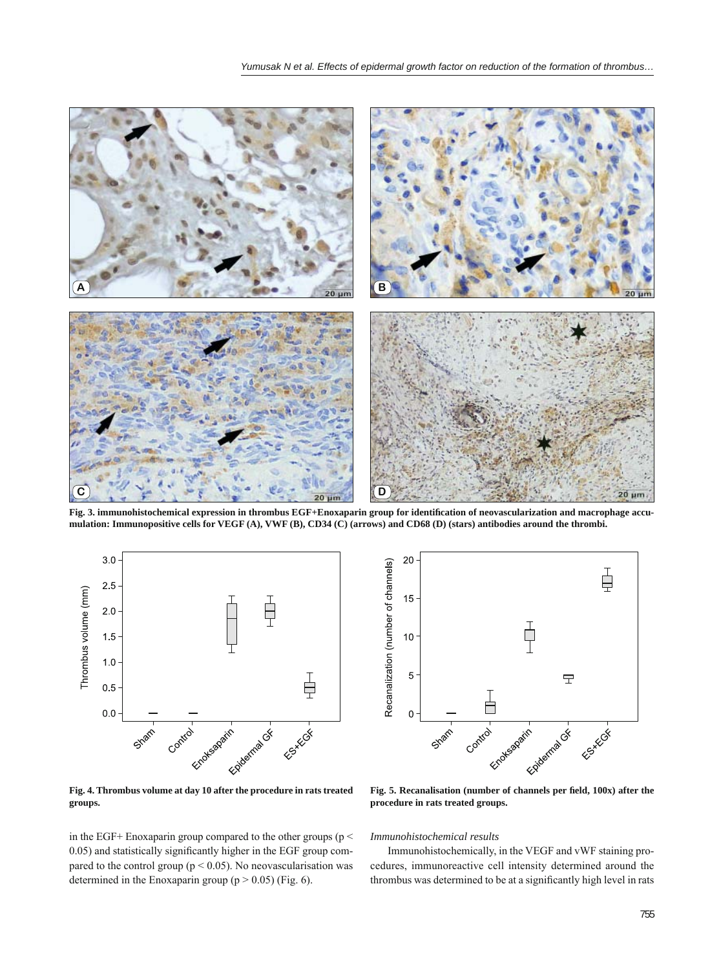

Fig. 3. immunohistochemical expression in thrombus EGF+Enoxaparin group for identification of neovascularization and macrophage accu**mulation: Immunopositive cells for VEGF (A), VWF (B), CD34 (C) (arrows) and CD68 (D) (stars) antibodies around the thrombi.**



**Fig. 4. Thrombus volume at day 10 after the procedure in rats treated groups.**

in the EGF+ Enoxaparin group compared to the other groups (p < 0.05) and statistically significantly higher in the EGF group compared to the control group ( $p < 0.05$ ). No neovascularisation was determined in the Enoxaparin group ( $p > 0.05$ ) (Fig. 6).



Fig. 5. Recanalisation (number of channels per field, 100x) after the **procedure in rats treated groups.**

*Immunohistochemical results*

Immunohistochemically, in the VEGF and vWF staining procedures, immunoreactive cell intensity determined around the thrombus was determined to be at a significantly high level in rats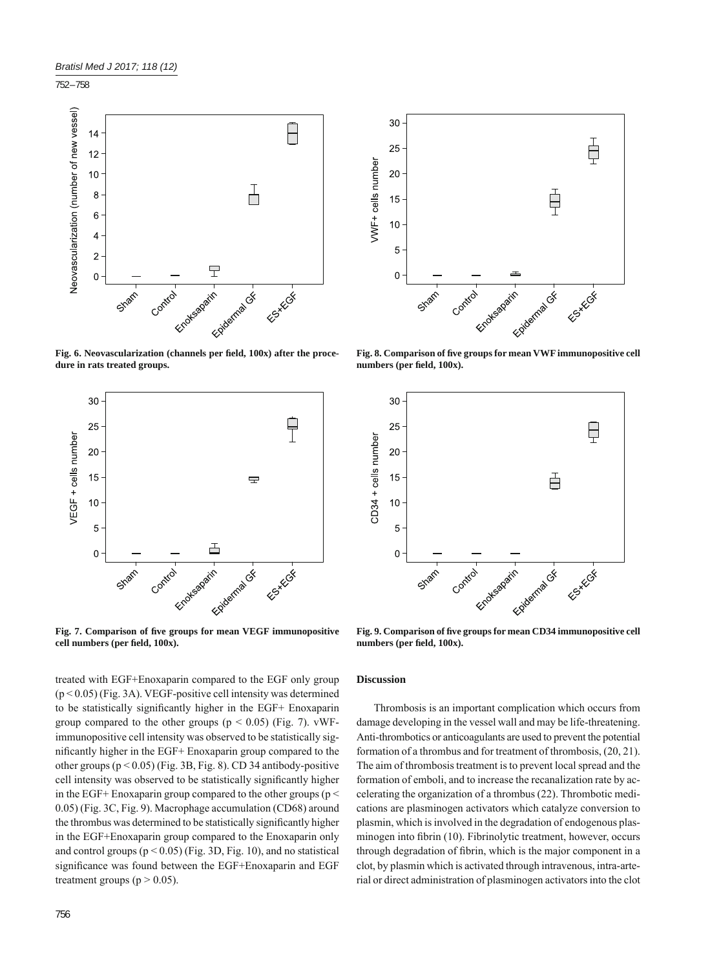752 – 758



Fig. 6. Neovascularization (channels per field, 100x) after the proce**dure in rats treated groups.**



Fig. 7. Comparison of five groups for mean VEGF immunopositive cell numbers (per field, 100x).

treated with EGF+Enoxaparin compared to the EGF only group (p < 0.05) (Fig. 3A). VEGF-positive cell intensity was determined to be statistically significantly higher in the EGF+ Enoxaparin group compared to the other groups ( $p < 0.05$ ) (Fig. 7). vWFimmunopositive cell intensity was observed to be statistically significantly higher in the EGF+ Enoxaparin group compared to the other groups  $(p < 0.05)$  (Fig. 3B, Fig. 8). CD 34 antibody-positive cell intensity was observed to be statistically significantly higher in the EGF+ Enoxaparin group compared to the other groups ( $p <$ 0.05) (Fig. 3C, Fig. 9). Macrophage accumulation (CD68) around the thrombus was determined to be statistically significantly higher in the EGF+Enoxaparin group compared to the Enoxaparin only and control groups  $(p < 0.05)$  (Fig. 3D, Fig. 10), and no statistical significance was found between the EGF+Enoxaparin and EGF treatment groups ( $p > 0.05$ ).



Fig. 8. Comparison of five groups for mean VWF immunopositive cell numbers (per field, 100x).



Fig. 9. Comparison of five groups for mean CD34 immunopositive cell numbers (per field, 100x).

## **Discussion**

Thrombosis is an important complication which occurs from damage developing in the vessel wall and may be life-threatening. Anti-thrombotics or anticoagulants are used to prevent the potential formation of a thrombus and for treatment of thrombosis, (20, 21). The aim of thrombosis treatment is to prevent local spread and the formation of emboli, and to increase the recanalization rate by accelerating the organization of a thrombus (22). Thrombotic medications are plasminogen activators which catalyze conversion to plasmin, which is involved in the degradation of endogenous plasminogen into fibrin (10). Fibrinolytic treatment, however, occurs through degradation of fibrin, which is the major component in a clot, by plasmin which is activated through intravenous, intra-arterial or direct administration of plasminogen activators into the clot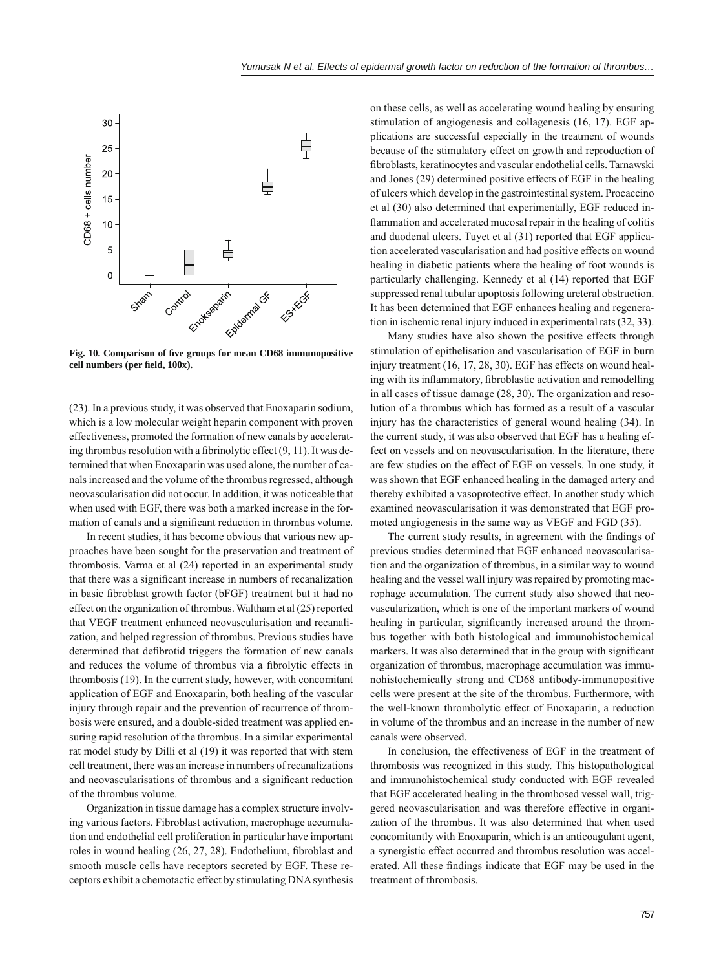

Fig. 10. Comparison of five groups for mean CD68 immunopositive cell numbers (per field, 100x).

(23). In a previous study, it was observed that Enoxaparin sodium, which is a low molecular weight heparin component with proven effectiveness, promoted the formation of new canals by accelerating thrombus resolution with a fibrinolytic effect  $(9, 11)$ . It was determined that when Enoxaparin was used alone, the number of canals increased and the volume of the thrombus regressed, although neovascularisation did not occur. In addition, it was noticeable that when used with EGF, there was both a marked increase in the formation of canals and a significant reduction in thrombus volume.

In recent studies, it has become obvious that various new approaches have been sought for the preservation and treatment of thrombosis. Varma et al (24) reported in an experimental study that there was a significant increase in numbers of recanalization in basic fibroblast growth factor (bFGF) treatment but it had no effect on the organization of thrombus. Waltham et al (25) reported that VEGF treatment enhanced neovascularisation and recanalization, and helped regression of thrombus. Previous studies have determined that defibrotid triggers the formation of new canals and reduces the volume of thrombus via a fibrolytic effects in thrombosis (19). In the current study, however, with concomitant application of EGF and Enoxaparin, both healing of the vascular injury through repair and the prevention of recurrence of thrombosis were ensured, and a double-sided treatment was applied ensuring rapid resolution of the thrombus. In a similar experimental rat model study by Dilli et al (19) it was reported that with stem cell treatment, there was an increase in numbers of recanalizations and neovascularisations of thrombus and a significant reduction of the thrombus volume.

Organization in tissue damage has a complex structure involving various factors. Fibroblast activation, macrophage accumulation and endothelial cell proliferation in particular have important roles in wound healing (26, 27, 28). Endothelium, fibroblast and smooth muscle cells have receptors secreted by EGF. These receptors exhibit a chemotactic effect by stimulating DNA synthesis

on these cells, as well as accelerating wound healing by ensuring stimulation of angiogenesis and collagenesis (16, 17). EGF applications are successful especially in the treatment of wounds because of the stimulatory effect on growth and reproduction of fibroblasts, keratinocytes and vascular endothelial cells. Tarnawski and Jones (29) determined positive effects of EGF in the healing of ulcers which develop in the gastrointestinal system. Procaccino et al (30) also determined that experimentally, EGF reduced inflammation and accelerated mucosal repair in the healing of colitis and duodenal ulcers. Tuyet et al (31) reported that EGF application accelerated vascularisation and had positive effects on wound healing in diabetic patients where the healing of foot wounds is particularly challenging. Kennedy et al (14) reported that EGF suppressed renal tubular apoptosis following ureteral obstruction. It has been determined that EGF enhances healing and regeneration in ischemic renal injury induced in experimental rats (32, 33).

Many studies have also shown the positive effects through stimulation of epithelisation and vascularisation of EGF in burn injury treatment (16, 17, 28, 30). EGF has effects on wound healing with its inflammatory, fibroblastic activation and remodelling in all cases of tissue damage (28, 30). The organization and resolution of a thrombus which has formed as a result of a vascular injury has the characteristics of general wound healing (34). In the current study, it was also observed that EGF has a healing effect on vessels and on neovascularisation. In the literature, there are few studies on the effect of EGF on vessels. In one study, it was shown that EGF enhanced healing in the damaged artery and thereby exhibited a vasoprotective effect. In another study which examined neovascularisation it was demonstrated that EGF promoted angiogenesis in the same way as VEGF and FGD (35).

The current study results, in agreement with the findings of previous studies determined that EGF enhanced neovascularisation and the organization of thrombus, in a similar way to wound healing and the vessel wall injury was repaired by promoting macrophage accumulation. The current study also showed that neovascularization, which is one of the important markers of wound healing in particular, significantly increased around the thrombus together with both histological and immunohistochemical markers. It was also determined that in the group with significant organization of thrombus, macrophage accumulation was immunohistochemically strong and CD68 antibody-immunopositive cells were present at the site of the thrombus. Furthermore, with the well-known thrombolytic effect of Enoxaparin, a reduction in volume of the thrombus and an increase in the number of new canals were observed.

In conclusion, the effectiveness of EGF in the treatment of thrombosis was recognized in this study. This histopathological and immunohistochemical study conducted with EGF revealed that EGF accelerated healing in the thrombosed vessel wall, triggered neovascularisation and was therefore effective in organization of the thrombus. It was also determined that when used concomitantly with Enoxaparin, which is an anticoagulant agent, a synergistic effect occurred and thrombus resolution was accelerated. All these findings indicate that EGF may be used in the treatment of thrombosis.